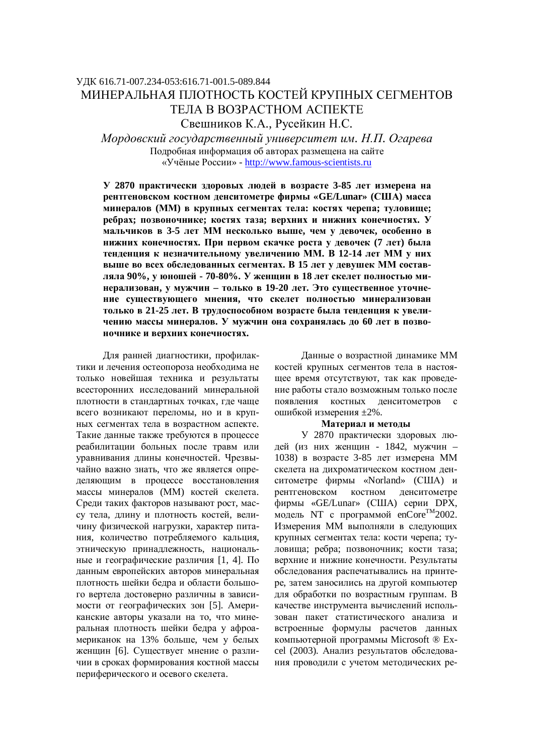# ɍȾɄ 616.71-007.234-053:616.71-001.5-089.844 МИНЕРАЛЬНАЯ ПЛОТНОСТЬ КОСТЕЙ КРУПНЫХ СЕГМЕНТОВ ТЕЛА В ВОЗРАСТНОМ АСПЕКТЕ Свешников К.А., Русейкин Н.С.

 $M$ ордовский государственный университет им. Н.П. Огарева Подробная информация об авторах размещена на сайте ©ɍɱɺɧɵɟɊɨɫɫɢɢ» - http://www.famous-scientists.ru

**У 2870 практически здоровых людей в возрасте 3-85 лет измерена на E**ВЭЗИЗИЗИ ВОСТНОМ ДЕНСИТОМЕТРЕ ФИРМЫ «GE/Lunar» (США) масса **минералов** (ММ) в крупных сегментах тела: костях черепа; туловище; ребрах; позвоночнике; костях таза; верхних и нижних конечностях. У **МАЛЬЧИКОВ В 3-5 ЛЕТ ММ НЕСКОЛЬКО ВЫШЕ, ЧЕМ У ДЕВОЧЕК, ОСОбЕННО В НИЖНИХ КОНЕЧНОСТЯХ. При первом скачке роста у девочек (7 лет) была** тенденция к незначительному увеличению ММ. В 12-14 лет ММ у них **выше во всех обследованных сегментах. В 15 лет у девушек ММ состав**ляла 90%, у юношей - 70-80%. У женщин в 18 лет скелет полностью минерализован, у мужчин - только в 19-20 лет. Это существенное уточнение существующего мнения, что скелет полностью минерализован только в 21-25 лет. В трудоспособном возрасте была тенденция к увеличению массы минералов. У мужчин она сохранялась до 60 лет в позво-**НОЧНИКЕ И ВЕРХНИХ КОНЕЧНОСТЯХ.** 

Для ранней диагностики, профилактики и лечения остеопороза необходима не только новейшая техника и результаты всесторонних исследований минеральной плотности в стандартных точках, где чаще всего возникают переломы, но и в крупных сегментах тела в возрастном аспекте. Такие данные также требуются в процессе реабилитации больных после травм или уравнивания длины конечностей. Чрезвычайно важно знать, что же является определяющим в процессе восстановления массы минералов (ММ) костей скелета. Среди таких факторов называют рост, массу тела, длину и плотность костей, величину физической нагрузки, характер питания, количество потребляемого кальция, этническую принадлежность, национальные и географические различия [1, 4]. По данным европейских авторов минеральная плотность шейки бедра и области большого вертела достоверно различны в зависимости от географических зон [5]. Американские авторы указали на то, что минеральная плотность шейки бедра у афроамериканок на 13% больше, чем у белых женщин [6]. Существует мнение о различии в сроках формирования костной массы периферического и осевого скелета.

Данные о возрастной динамике ММ костей крупных сегментов тела в настоящее время отсутствуют, так как проведение работы стало возможным только после появления костных денситометров с ошибкой измерения ±2%.

### Материал и методы

У 2870 практически здоровых людей (из них женщин - 1842, мужчин – 1038) в возрасте 3-85 лет измерена ММ скелета на дихроматическом костном денситометре фирмы «Norland» (США) и рентгеновском костном денситометре фирмы «GE/Lunar» (США) серии DPX, модель NT с программой  $encore^{TM}2002$ . Измерения ММ выполняли в следующих крупных сегментах тела: кости черепа; туловища; ребра; позвоночник; кости таза; верхние и нижние конечности. Результаты обследования распечатывались на принтере, затем заносились на другой компьютер для обработки по возрастным группам. В качестве инструмента вычислений использован пакет статистического анализа и встроенные формулы расчетов данных компьютерной программы Microsoft ® Excel (2003). Анализ результатов обследования проводили с учетом методических ре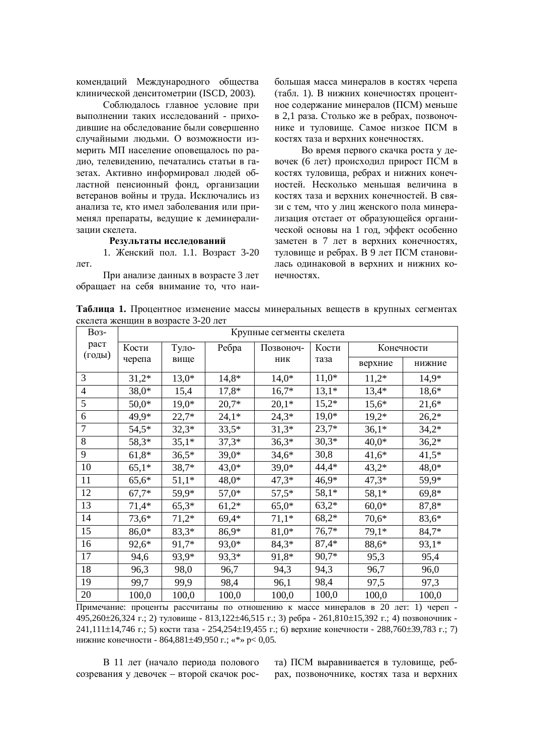комендаций Международного общества клинической денситометрии (ISCD, 2003).

Соблюдалось главное условие при выполнении таких исследований - приходившие на обследование были совершенно случайными людьми. О возможности измерить МП население оповещалось по радио, телевидению, печатались статьи в газетах. Активно информировал людей областной пенсионный фонд, организации ветеранов войны и труда. Исключались из анализа те, кто имел заболевания или применял препараты, ведущие к деминерализации скелета.

# Результаты исследований

1. Женский пол. 1.1. Возраст 3-20 лет.

При анализе ланных в возрасте 3 лет обращает на себя внимание то, что наибольшая масса минералов в костях черепа (табл. 1). В нижних конечностях процентное содержание минералов (ПСМ) меньше в 2,1 раза. Столько же в ребрах, позвоночнике и туловище. Самое низкое ПСМ в костях таза и верхних конечностях.

Во время первого скачка роста у девочек (6 лет) происходил прирост ПСМ в костях туловища, ребрах и нижних конечностей. Несколько меньшая величина в костях таза и верхних конечностей. В связи с тем, что у лиц женского пола минерализация отстает от образующейся органической основы на 1 год, эффект особенно заметен в 7 лет в верхних конечностях, туловище и ребрах. В 9 лет ПСМ становилась одинаковой в верхних и нижних конечностях.

Таблица 1. Процентное изменение массы минеральных веществ в крупных сегментах скелета женщин в возрасте 3-20 лет

| <b>Bo<sub>3</sub></b> - | Крупные сегменты скелета |         |         |           |         |            |         |  |
|-------------------------|--------------------------|---------|---------|-----------|---------|------------|---------|--|
| раст                    | Кости                    | Туло-   | Ребра   | Позвоноч- | Кости   | Конечности |         |  |
| (годы)                  | черепа                   | вище    |         | ник       | таза    | верхние    | нижние  |  |
| 3                       | $31,2*$                  | $13,0*$ | $14,8*$ | $14,0*$   | $11,0*$ | $11,2*$    | $14,9*$ |  |
| $\overline{4}$          | $38,0*$                  | 15,4    | $17,8*$ | $16,7*$   | $13,1*$ | $13,4*$    | 18,6*   |  |
| 5                       | $50,0*$                  | $19,0*$ | $20.7*$ | $20,1*$   | $15,2*$ | $15,6*$    | $21,6*$ |  |
| 6                       | 49,9*                    | $22,7*$ | $24,1*$ | $24,3*$   | $19,0*$ | $19,2*$    | $26,2*$ |  |
| $\overline{7}$          | $54,5*$                  | $32,3*$ | $33,5*$ | $31,3*$   | $23,7*$ | $36,1*$    | $34,2*$ |  |
| 8                       | 58,3*                    | $35,1*$ | $37,3*$ | $36,3*$   | $30,3*$ | $40,0*$    | $36,2*$ |  |
| 9                       | $61,8*$                  | $36,5*$ | $39,0*$ | $34,6*$   | 30,8    | $41,6*$    | $41,5*$ |  |
| 10                      | $65,1*$                  | $38,7*$ | $43,0*$ | $39,0*$   | $44,4*$ | $43,2*$    | 48,0*   |  |
| 11                      | $65,6*$                  | $51,1*$ | $48,0*$ | $47,3*$   | $46,9*$ | $47,3*$    | 59,9*   |  |
| 12                      | $67,7*$                  | 59,9*   | $57,0*$ | $57,5*$   | $58,1*$ | $58,1*$    | $69,8*$ |  |
| 13                      | $71,4*$                  | $65,3*$ | $61,2*$ | $65,0*$   | $63,2*$ | $60,0*$    | 87,8*   |  |
| 14                      | $73,6*$                  | $71,2*$ | $69,4*$ | $71,1*$   | $68,2*$ | $70,6*$    | 83,6*   |  |
| 15                      | $86,0*$                  | $83,3*$ | 86,9*   | 81,0*     | $76,7*$ | $79,1*$    | $84,7*$ |  |
| 16                      | 92,6*                    | 91,7*   | 93,0*   | $84,3*$   | $87,4*$ | 88,6*      | 93,1*   |  |
| 17                      | 94,6                     | 93,9*   | 93,3*   | 91,8*     | $90,7*$ | 95,3       | 95,4    |  |
| 18                      | 96,3                     | 98,0    | 96,7    | 94,3      | 94,3    | 96,7       | 96,0    |  |
| 19                      | 99,7                     | 99,9    | 98,4    | 96,1      | 98,4    | 97,5       | 97,3    |  |
| 20                      | 100,0                    | 100,0   | 100,0   | 100,0     | 100,0   | 100,0      | 100,0   |  |

 $\overline{II}$ римечание: проценты рассчитаны по отношению к массе минералов в 20 лет: 1) череп  $495,260±26,324$  г.; 2) туловище - 813,122 $±46,515$  г.; 3) ребра - 261,810 $±15,392$  г.; 4) позвоночник -241,111±14,746 г.; 5) кости таза - 254,254±19,455 г.; 6) верхние конечности - 288,760±39,783 г.; 7) нижние конечности - 864,881±49,950 г.; «\*» р< 0,05.

В 11 лет (начало периода полового созревания у девочек – второй скачок роста) ПСМ выравнивается в туловище, ребрах, позвоночнике, костях таза и верхних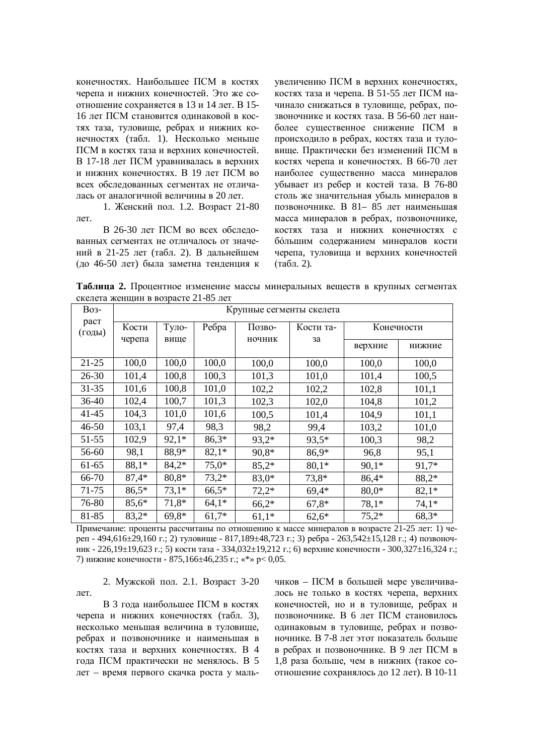конечностях. Наибольшее ПСМ в костях черепа и нижних конечностей. Это же соотношение сохраняется в 13 и 14 лет. В 15-16 лет ПСМ становится одинаковой в костях таза, туловище, ребрах и нижних конечностях (табл. 1). Несколько меньше ПСМ в костях таза и верхних конечностей. В 17-18 лет ПСМ уравнивалась в верхних и нижних конечностях. В 19 лет ПСМ во всех обследованных сегментах не отличалась от аналогичной величины в 20 лет.

1. Женский пол. 1.2. Возраст 21-80 пет

В 26-30 лет ПСМ во всех обследованных сегментах не отличалось от значений в 21-25 лет (табл. 2). В дальнейшем (до 46-50 лет) была заметна тенденция к увеличению ПСМ в верхних конечностях, костях таза и черепа. В 51-55 лет ПСМ начинало снижаться в туловише, ребрах, позвоночнике и костях таза. В 56-60 лет наиболее существенное снижение ПСМ в происходило в ребрах, костях таза и туловище. Практически без изменений ПСМ в костях черепа и конечностях. В 66-70 лет наиболее существенно масса минералов убывает из ребер и костей таза. В 76-80 столь же значительная убыль минералов в позвоночнике. В 81– 85 лет наименьшая масса минералов в ребрах, позвоночнике, костях таза и нижних конечностях с большим содержанием минералов кости черепа, туловища и верхних конечностей  $(TA6J, 2).$ 

Таблица 2. Процентное изменение массы минеральных веществ в крупных сегментах скелета женщин в возрасте 21-85 лет

| <b>Bo</b> 3-   | Крупные сегменты скелета |               |         |                  |                 |            |         |  |  |
|----------------|--------------------------|---------------|---------|------------------|-----------------|------------|---------|--|--|
| раст<br>(годы) | Кости<br>черепа          | Туло-<br>вище | Ребра   | Позво-<br>ночник | Кости та-<br>за | Конечности |         |  |  |
|                |                          |               |         |                  |                 | верхние    | нижние  |  |  |
| $21 - 25$      | 100,0                    | 100,0         | 100,0   | 100,0            | 100,0           | 100,0      | 100,0   |  |  |
| $26 - 30$      | 101,4                    | 100,8         | 100,3   | 101,3            | 101,0           | 101,4      | 100,5   |  |  |
| $31 - 35$      | 101,6                    | 100,8         | 101,0   | 102,2            | 102,2           | 102,8      | 101,1   |  |  |
| $36-40$        | 102,4                    | 100,7         | 101,3   | 102,3            | 102,0           | 104,8      | 101,2   |  |  |
| $41 - 45$      | 104,3                    | 101,0         | 101,6   | 100,5            | 101,4           | 104,9      | 101,1   |  |  |
| $46 - 50$      | 103,1                    | 97,4          | 98,3    | 98,2             | 99,4            | 103,2      | 101,0   |  |  |
| 51-55          | 102,9                    | $92,1*$       | $86,3*$ | $93,2*$          | $93,5*$         | 100,3      | 98,2    |  |  |
| 56-60          | 98,1                     | 88,9*         | $82,1*$ | 90,8*            | 86,9*           | 96,8       | 95,1    |  |  |
| 61-65          | 88,1*                    | $84,2*$       | $75,0*$ | $85,2*$          | $80,1*$         | $90,1*$    | 91,7*   |  |  |
| 66-70          | $87,4*$                  | $80,8*$       | $73,2*$ | $83,0*$          | $73.8*$         | $86,4*$    | 88,2*   |  |  |
| 71-75          | $86,5*$                  | $73,1*$       | $66,5*$ | $72,2*$          | $69.4*$         | $80,0*$    | $82,1*$ |  |  |
| 76-80          | $85,6*$                  | 71,8*         | $64.1*$ | $66,2*$          | $67,8*$         | $78,1*$    | $74,1*$ |  |  |
| 81-85          | $83,2*$                  | $69,8*$       | $61,7*$ | $61,1*$          | $62,6*$         | $75,2*$    | $68,3*$ |  |  |

Примечание: проценты рассчитаны по отношению к массе минералов в возрасте 21-25 лет: 1) череп - 494,616±29,160 г.; 2) туловище - 817,189±48,723 г.; 3) ребра - 263,542±15,128 г.; 4) позвоночник - 226,19±19,623 г.; 5) кости таза - 334,032±19,212 г.; 6) верхние конечности - 300,327±16,324 г.; 7) нижние конечности - 875,166±46,235 г.; «\*» р< 0,05.

2. Мужской пол. 2.1. Возраст 3-20 лет.

В 3 года наибольшее ПСМ в костях черепа и нижних конечностях (табл. 3), несколько меньшая величина в туловище, ребрах и позвоночнике и наименьшая в костях таза и верхних конечностях. В 4 года ПСМ практически не менялось. В 5 лет – время первого скачка роста у маль-

чиков – ПСМ в большей мере увеличивалось не только в костях черепа, верхних конечностей, но и в туловище, ребрах и позвоночнике. В 6 лет ПСМ становилось одинаковым в туловище, ребрах и позвоночнике. В 7-8 лет этот показатель больше в ребрах и позвоночнике. В 9 лет ПСМ в 1,8 раза больше, чем в нижних (такое соотношение сохранялось до 12 лет). В 10-11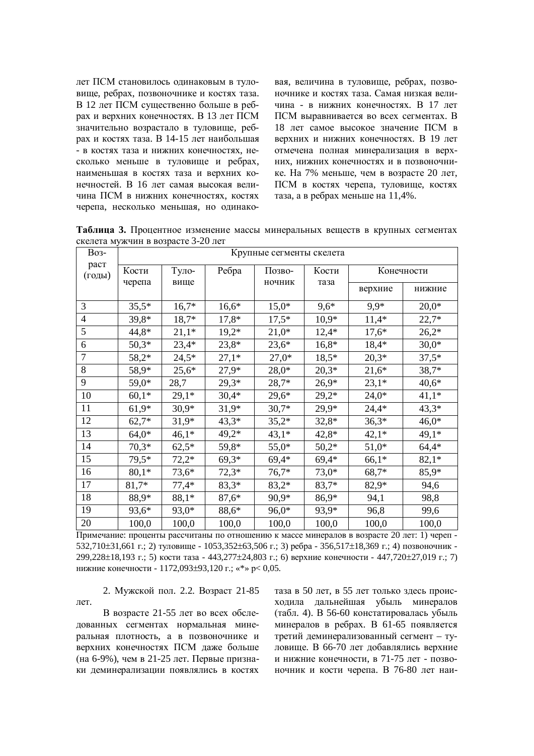лет ПСМ становилось одинаковым в туловище, ребрах, позвоночнике и костях таза. В 12 лет ПСМ существенно больше в ребрах и верхних конечностях. В 13 лет ПСМ значительно возрастало в туловище, ребрах и костях таза. В 14-15 лет наибольшая - в костях таза и нижних конечностях, несколько меньше в туловище и ребрах, наименьшая в костях таза и верхних конечностей. В 16 лет самая высокая величина ПСМ в нижних конечностях, костях черепа, несколько меньшая, но одинаковая, величина в туловище, ребрах, позвоночнике и костях таза. Самая низкая вели-ЧИНА - В НИЖНИХ КОНЕЧНОСТЯХ. В 17 ПЕТ  $\Pi$ СМ выравнивается во всех сегментах. В 18 лет самое высокое значение ПСМ в верхних и нижних конечностях. В 19 лет отмечена полная минерализация в верх-НИХ, НИЖНИХ КОНСЧНОСТЯХ И В ПОЗВОНОЧНИке. На 7% меньше, чем в возрасте 20 лет, ПСМ в костях черепа, туловище, костях таза, а в ребрах меньше на 11,4%.

Таблица 3. Процентное изменение массы минеральных веществ в крупных сегментах скелета мужчин в возрасте 3-20 лет

| <b>Bo</b> 3-   | Крупные сегменты скелета |               |         |                  |               |            |         |  |
|----------------|--------------------------|---------------|---------|------------------|---------------|------------|---------|--|
| раст<br>(годы) | Кости<br>черепа          | Туло-<br>вище | Ребра   | Позво-<br>ночник | Кости<br>таза | Конечности |         |  |
|                |                          |               |         |                  |               | верхние    | нижние  |  |
| 3              | $35,5*$                  | $16,7*$       | $16,6*$ | $15,0*$          | $9,6*$        | $9,9*$     | $20,0*$ |  |
| 4              | $39,8*$                  | 18,7*         | $17,8*$ | $17,5*$          | $10,9*$       | $11,4*$    | $22,7*$ |  |
| 5              | 44,8*                    | $21,1*$       | $19,2*$ | $21,0*$          | $12,4*$       | $17,6*$    | $26,2*$ |  |
| 6              | $50,3*$                  | $23,4*$       | $23,8*$ | $23,6*$          | $16,8*$       | 18,4*      | $30,0*$ |  |
| 7              | $58,2*$                  | $24,5*$       | $27,1*$ | $27,0*$          | $18,5*$       | $20,3*$    | $37,5*$ |  |
| 8              | 58,9*                    | $25,6*$       | $27,9*$ | $28,0*$          | $20,3*$       | $21,6*$    | 38,7*   |  |
| 9              | 59,0*                    | 28,7          | $29,3*$ | 28,7*            | $26,9*$       | $23,1*$    | $40,6*$ |  |
| 10             | $60,1*$                  | $29,1*$       | $30,4*$ | $29,6*$          | $29,2*$       | $24,0*$    | $41,1*$ |  |
| 11             | $61,9*$                  | $30,9*$       | $31,9*$ | $30,7*$          | $29,9*$       | $24,4*$    | $43,3*$ |  |
| 12             | $62,7*$                  | $31,9*$       | $43,3*$ | $35,2*$          | $32,8*$       | $36,3*$    | $46,0*$ |  |
| 13             | $64,0*$                  | $46,1*$       | $49,2*$ | $43,1*$          | $42,8*$       | $42,1*$    | $49,1*$ |  |
| 14             | $70,3*$                  | $62,5*$       | 59,8*   | $55,0*$          | $50,2*$       | $51,0*$    | $64,4*$ |  |
| 15             | 79,5*                    | $72,2*$       | $69,3*$ | $69,4*$          | $69,4*$       | $66,1*$    | $82,1*$ |  |
| 16             | $80,1*$                  | $73,6*$       | $72,3*$ | $76,7*$          | $73,0*$       | 68,7*      | 85,9*   |  |
| 17             | 81,7*                    | $77,4*$       | $83,3*$ | $83,2*$          | 83,7*         | 82,9*      | 94,6    |  |
| 18             | 88,9*                    | 88,1*         | $87,6*$ | 90,9*            | 86,9*         | 94,1       | 98,8    |  |
| 19             | 93,6*                    | 93,0*         | 88,6*   | 96,0*            | 93,9*         | 96,8       | 99,6    |  |
| 20             | 100,0                    | 100,0         | 100,0   | 100,0            | 100,0         | 100,0      | 100,0   |  |

Примечание: проценты рассчитаны по отношению к массе минералов в возрасте 20 лет: 1) череп - $532,710±31,661$  г.; 2) туловище -  $1053,352±63,506$  г.; 3) ребра -  $356,517±18,369$  г.; 4) позвоночник -299,228±18,193 г.; 5) кости таза - 443,277±24,803 г.; 6) верхние конечности - 447,720±27,019 г.; 7) нижние конечности - 1172,093±93,120 г.; «\*» р< 0,05.

2. Мужской пол. 2.2. Возраст 21-85 лет.

В возрасте 21-55 лет во всех обследованных сегментах нормальная минеральная плотность, а в позвоночнике и верхних конечностях ПСМ даже больше (на 6-9%), чем в 21-25 лет. Первые признаки деминерализации появлялись в костях таза в 50 лет, в 55 лет только здесь происходила дальнейшая убыль минералов (табл. 4). В 56-60 констатировалась убыль минералов в ребрах. В 61-65 появляется третий деминерализованный сегмент - туловище. В 66-70 лет добавлялись верхние и нижние конечности, в 71-75 лет - позвоночник и кости черепа. В 76-80 лет наи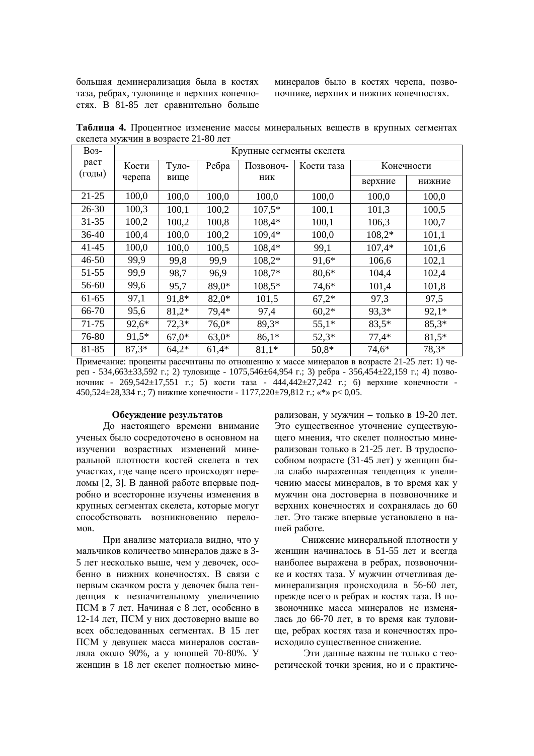большая деминерализация была в костях таза, ребрах, туловище и верхних конечностях. В 81-85 лет сравнительно больше минералов было в костях черепа, позвоночнике, верхних и нижних конечностях.

Таблица 4. Процентное изменение массы минеральных веществ в крупных сегментах скелета мужчин в возрасте 21-80 лет

| <b>Bo<sub>3</sub></b> - | Крупные сегменты скелета |         |         |                  |            |            |         |  |
|-------------------------|--------------------------|---------|---------|------------------|------------|------------|---------|--|
| раст<br>(годы)          | Кости                    | Туло-   | Ребра   | Позвоноч-<br>ник | Кости таза | Конечности |         |  |
|                         | черепа                   | вище    |         |                  |            | верхние    | нижние  |  |
| $21 - 25$               | 100,0                    | 100,0   | 100,0   | 100,0            | 100,0      | 100,0      | 100,0   |  |
| $26 - 30$               | 100,3                    | 100,1   | 100,2   | $107,5*$         | 100,1      | 101,3      | 100,5   |  |
| $31 - 35$               | 100,2                    | 100,2   | 100,8   | 108,4*           | 100,1      | 106,3      | 100,7   |  |
| $36-40$                 | 100,4                    | 100,0   | 100,2   | 109,4*           | 100,0      | $108,2*$   | 101,1   |  |
| $41 - 45$               | 100,0                    | 100,0   | 100,5   | 108,4*           | 99,1       | $107,4*$   | 101,6   |  |
| 46-50                   | 99,9                     | 99,8    | 99,9    | $108,2*$         | 91,6*      | 106,6      | 102,1   |  |
| 51-55                   | 99,9                     | 98,7    | 96,9    | $108,7*$         | $80,6*$    | 104,4      | 102,4   |  |
| 56-60                   | 99,6                     | 95,7    | 89,0*   | 108,5*           | 74,6*      | 101,4      | 101,8   |  |
| 61-65                   | 97,1                     | 91,8*   | $82,0*$ | 101,5            | $67,2*$    | 97,3       | 97,5    |  |
| 66-70                   | 95,6                     | $81,2*$ | 79,4*   | 97,4             | $60,2*$    | 93,3*      | $92,1*$ |  |
| 71-75                   | $92,6*$                  | $72,3*$ | $76,0*$ | $89,3*$          | $55,1*$    | $83,5*$    | $85,3*$ |  |
| 76-80                   | $91,5*$                  | $67,0*$ | $63,0*$ | $86,1*$          | $52.3*$    | $77,4*$    | $81,5*$ |  |
| 81-85                   | $87.3*$                  | $64,2*$ | $61.4*$ | $81,1*$          | $50,8*$    | 74,6*      | 78.3*   |  |

Примечание: проценты рассчитаны по отношению к массе минералов в возрасте 21-25 лет: 1) че $per - 534,663\pm33,592$   $r$ .; 2) туловище - 1075,546 $\pm$ 64,954  $r$ .; 3)  $pe$ бра - 356,454 $\pm$ 22,159  $r$ .; 4) позвоночник - 269,542±17,551 г.; 5) кости таза - 444,442±27,242 г.; 6) верхние конечности -450,524±28,334 г.; 7) нижние конечности - 1177,220±79,812 г.; «\*» p< 0,05.

#### Обсуждение результатов

До настоящего времени внимание ученых было сосредоточено в основном на изучении возрастных изменений минеральной плотности костей скелета в тех участках, где чаще всего происходят переломы [2, 3]. В данной работе впервые подробно и всесторонне изучены изменения в крупных сегментах скелета, которые могут способствовать возникновению перело-MOB.

При анализе материала видно, что у мальчиков количество минералов даже в 3-5 лет несколько выше, чем у девочек, особенно в нижних конечностях. В связи с первым скачком роста у девочек была тенденция к незначительному увеличению ПСМ в 7 лет. Начиная с 8 лет, особенно в 12-14 лет, ПСМ у них достоверно выше во всех обследованных сегментах. В 15 лет ПСМ у девушек масса минералов составляла около 90%, а у юношей 70-80%. У женщин в 18 лет скелет полностью минерализован, у мужчин – только в 19-20 лет. Это существенное уточнение существующего мнения, что скелет полностью минерализован только в 21-25 лет. В трудоспособном возрасте (31-45 лет) у женщин была слабо выраженная тенденция к увеличению массы минералов, в то время как у мужчин она достоверна в позвоночнике и верхних конечностях и сохранялась до 60 лет. Это также впервые установлено в нашей работе.

Снижение минеральной плотности у женщин начиналось в 51-55 лет и всегда наиболее выражена в ребрах, позвоночнике и костях таза. У мужчин отчетливая деминерализация происходила в 56-60 лет, прежде всего в ребрах и костях таза. В позвоночнике масса минералов не изменялась до 66-70 лет, в то время как туловище, ребрах костях таза и конечностях происхолило сушественное снижение.

Эти данные важны не только с теоретической точки зрения, но и с практиче-